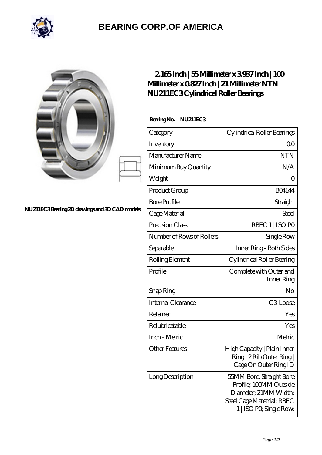

## **[BEARING CORP.OF AMERICA](https://m.bluemondayreview.com)**

|                                               | 2165Inch   55Millimeter x 3937Inch   100<br>Millimeter x 0827 Inch   21 Millimeter NTN<br>NU211EC3Cylindrical Roller Bearings |                                                                                                                                      |
|-----------------------------------------------|-------------------------------------------------------------------------------------------------------------------------------|--------------------------------------------------------------------------------------------------------------------------------------|
| NU211EC3Bearing 2D drawings and 3D CAD models | BearingNo.<br><b>NU211EC3</b>                                                                                                 |                                                                                                                                      |
|                                               | Category                                                                                                                      | Cylindrical Roller Bearings                                                                                                          |
|                                               | Inventory                                                                                                                     | 0 <sub>0</sub>                                                                                                                       |
|                                               | Manufacturer Name                                                                                                             | <b>NTN</b>                                                                                                                           |
|                                               | Minimum Buy Quantity                                                                                                          | N/A                                                                                                                                  |
|                                               | Weight                                                                                                                        | $\Omega$                                                                                                                             |
|                                               | Product Group                                                                                                                 | <b>BO4144</b>                                                                                                                        |
|                                               | <b>Bore Profile</b>                                                                                                           | Straight                                                                                                                             |
|                                               | Cage Material                                                                                                                 | <b>Steel</b>                                                                                                                         |
|                                               | Precision Class                                                                                                               | RBEC 1   ISO PO                                                                                                                      |
|                                               | Number of Rows of Rollers                                                                                                     | Single Row                                                                                                                           |
|                                               | Separable                                                                                                                     | Inner Ring - Both Sides                                                                                                              |
|                                               | Rolling Element                                                                                                               | Cylindrical Roller Bearing                                                                                                           |
|                                               | Profile                                                                                                                       | Complete with Outer and<br>Inner Ring                                                                                                |
|                                               | Snap Ring                                                                                                                     | No                                                                                                                                   |
|                                               | Internal Clearance                                                                                                            | C3Loose                                                                                                                              |
|                                               | Retainer                                                                                                                      | Yes                                                                                                                                  |
|                                               | Relubricatable                                                                                                                | Yes                                                                                                                                  |
|                                               | Inch - Metric                                                                                                                 | Metric                                                                                                                               |
|                                               | <b>Other Features</b>                                                                                                         | High Capacity   Plain Inner<br>Ring   2 Rib Outer Ring  <br>Cage On Outer Ring ID                                                    |
|                                               | Long Description                                                                                                              | 55MM Bore; Straight Bore<br>Profile; 100MM Outside<br>Diameter; 21MM Width;<br>Steel Cage Matetrial; RBEC<br>1   ISO PO, Single Row, |